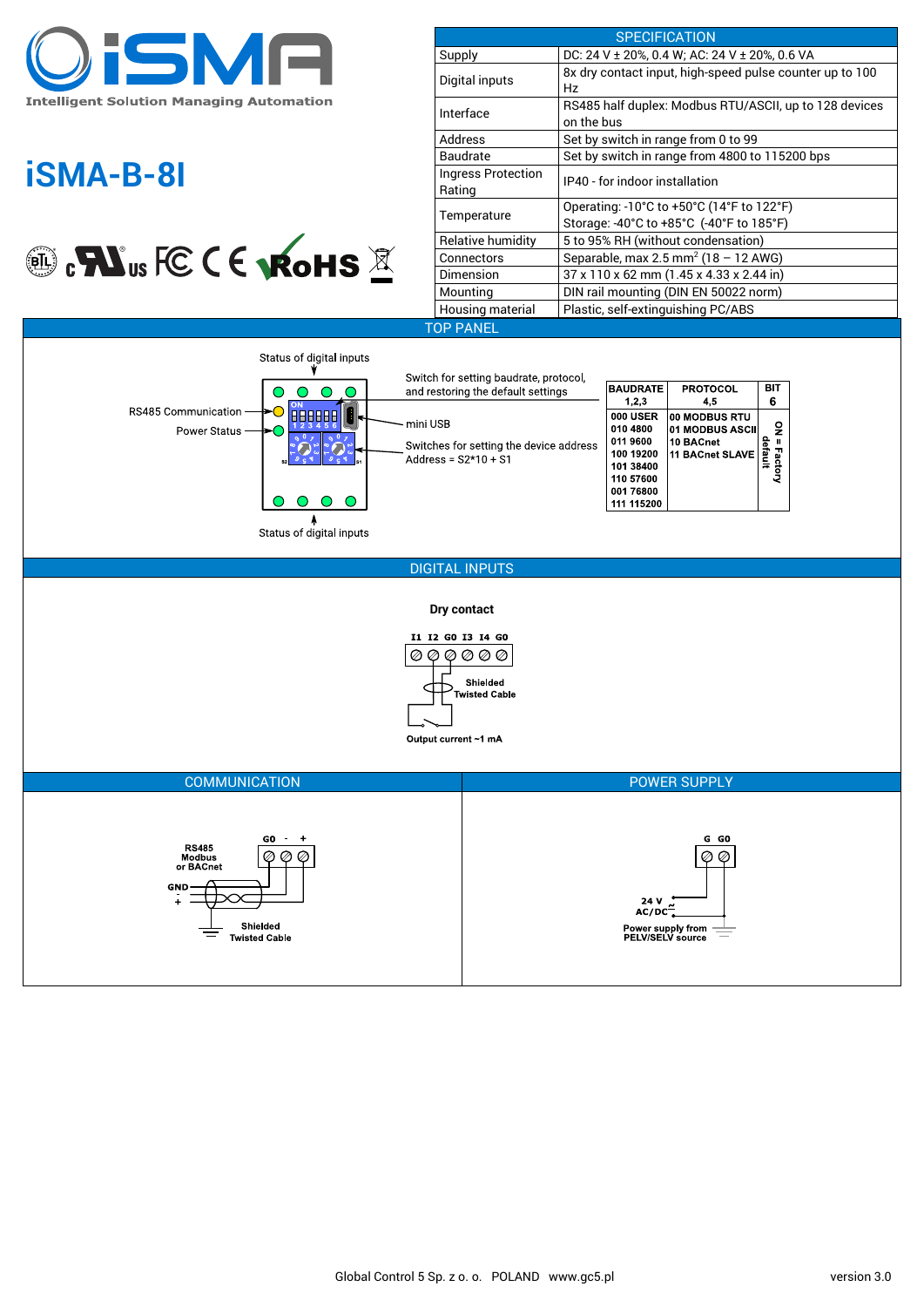

# **iSMA-B-8I**



| <b>SPECIFICATION</b>         |                                                                                                                                 |
|------------------------------|---------------------------------------------------------------------------------------------------------------------------------|
| Supply                       | DC: 24 V ± 20%, 0.4 W; AC: 24 V ± 20%, 0.6 VA                                                                                   |
| Digital inputs               | 8x dry contact input, high-speed pulse counter up to 100<br>Hz                                                                  |
| Interface                    | RS485 half duplex: Modbus RTU/ASCII, up to 128 devices<br>on the bus                                                            |
| Address                      | Set by switch in range from 0 to 99                                                                                             |
| <b>Baudrate</b>              | Set by switch in range from 4800 to 115200 bps                                                                                  |
| Ingress Protection<br>Rating | IP40 - for indoor installation                                                                                                  |
| Temperature                  | Operating: $-10^{\circ}$ C to $+50^{\circ}$ C (14 $^{\circ}$ F to 122 $^{\circ}$ F)<br>Storage: -40°C to +85°C (-40°F to 185°F) |
| Relative humidity            | 5 to 95% RH (without condensation)                                                                                              |
| Connectors                   | Separable, max 2.5 mm <sup>2</sup> (18 - 12 AWG)                                                                                |
| Dimension                    | 37 x 110 x 62 mm (1.45 x 4.33 x 2.44 in)                                                                                        |
| Mounting                     | DIN rail mounting (DIN EN 50022 norm)                                                                                           |
| Housing material             | Plastic, self-extinguishing PC/ABS                                                                                              |
| OP PANEL                     |                                                                                                                                 |
|                              |                                                                                                                                 |